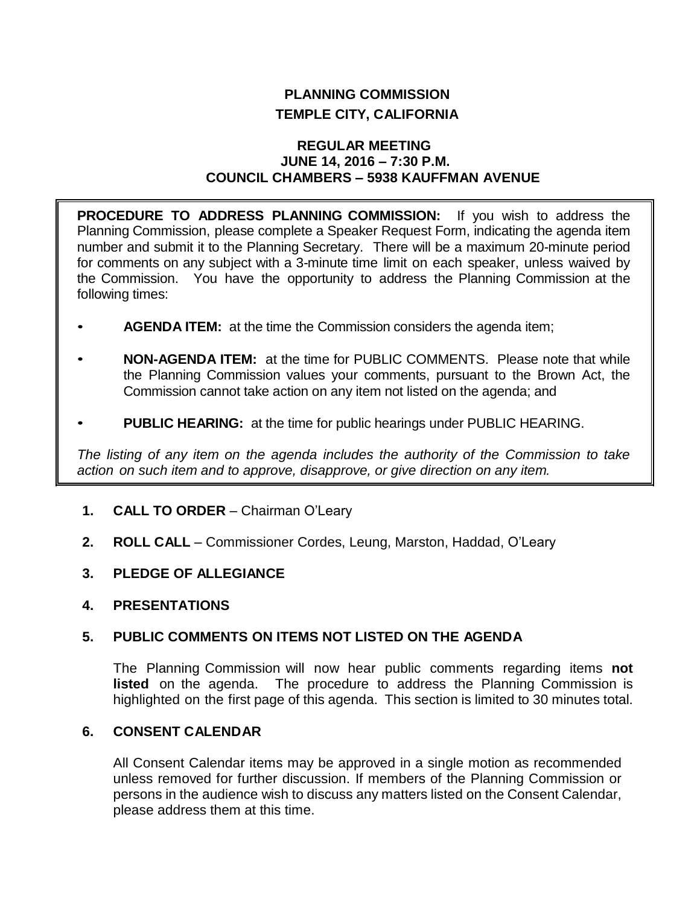# **PLANNING COMMISSION TEMPLE CITY, CALIFORNIA**

## **REGULAR MEETING JUNE 14, 2016 – 7:30 P.M. COUNCIL CHAMBERS – 5938 KAUFFMAN AVENUE**

**PROCEDURE TO ADDRESS PLANNING COMMISSION:** If you wish to address the Planning Commission, please complete a Speaker Request Form, indicating the agenda item number and submit it to the Planning Secretary. There will be a maximum 20-minute period for comments on any subject with a 3-minute time limit on each speaker, unless waived by the Commission. You have the opportunity to address the Planning Commission at the following times:

- **AGENDA ITEM:** at the time the Commission considers the agenda item;
- **NON-AGENDA ITEM:** at the time for PUBLIC COMMENTS. Please note that while the Planning Commission values your comments, pursuant to the Brown Act, the Commission cannot take action on any item not listed on the agenda; and
- **PUBLIC HEARING:** at the time for public hearings under PUBLIC HEARING.

*The listing of any item on the agenda includes the authority of the Commission to take action on such item and to approve, disapprove, or give direction on any item.*

- **1. CALL TO ORDER** Chairman O'Leary
- **2. ROLL CALL** Commissioner Cordes, Leung, Marston, Haddad, O'Leary
- **3. PLEDGE OF ALLEGIANCE**
- **4. PRESENTATIONS**

# **5. PUBLIC COMMENTS ON ITEMS NOT LISTED ON THE AGENDA**

The Planning Commission will now hear public comments regarding items **not listed** on the agenda. The procedure to address the Planning Commission is highlighted on the first page of this agenda. This section is limited to 30 minutes total.

## **6. CONSENT CALENDAR**

All Consent Calendar items may be approved in a single motion as recommended unless removed for further discussion. If members of the Planning Commission or persons in the audience wish to discuss any matters listed on the Consent Calendar, please address them at this time.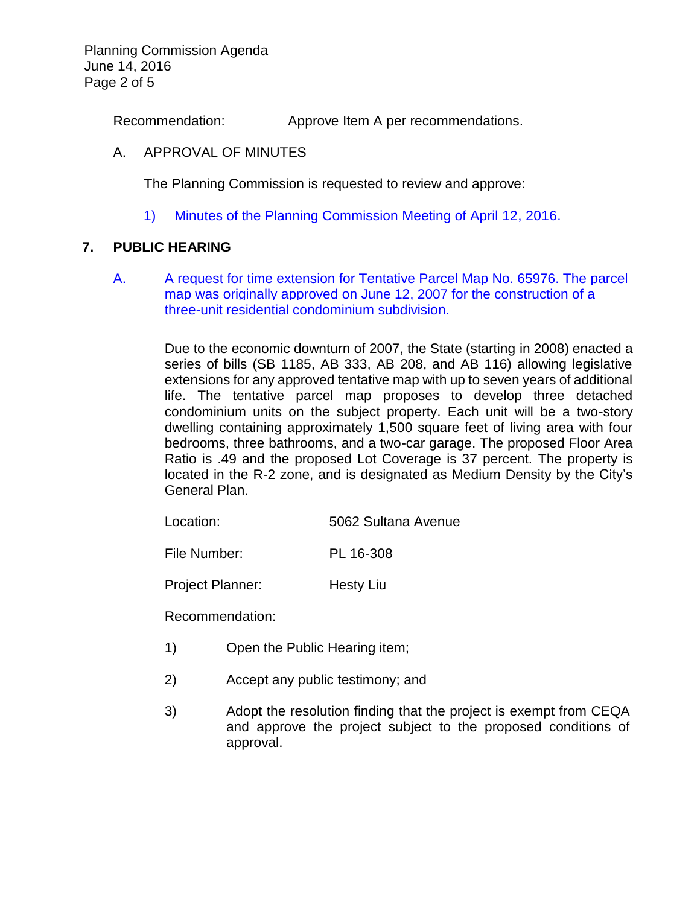Planning Commission Agenda June 14, 2016 Page 2 of 5

Recommendation: Approve Item A per recommendations.

## A. APPROVAL OF MINUTES

The Planning Commission is requested to review and approve:

1) Minutes of the [Planning Commission Meeting](http://ca-templecity.civicplus.com/DocumentCenter/View/6054) of April 12, 2016.

# **7. PUBLIC HEARING**

A. [A request for time extension for Tentative Parcel Map No. 65976. The parcel](http://ca-templecity.civicplus.com/DocumentCenter/View/6051)  [map was originally approved on June 12, 2007 for the construction of a](http://ca-templecity.civicplus.com/DocumentCenter/View/6051)  [three-unit residential condominium subdivision.](http://ca-templecity.civicplus.com/DocumentCenter/View/6051) 

> Due to the economic downturn of 2007, the State (starting in 2008) enacted a series of bills (SB 1185, AB 333, AB 208, and AB 116) allowing legislative extensions for any approved tentative map with up to seven years of additional life. The tentative parcel map proposes to develop three detached condominium units on the subject property. Each unit will be a two-story dwelling containing approximately 1,500 square feet of living area with four bedrooms, three bathrooms, and a two-car garage. The proposed Floor Area Ratio is .49 and the proposed Lot Coverage is 37 percent. The property is located in the R-2 zone, and is designated as Medium Density by the City's General Plan.

| Location: | 5062 Sultana Avenue |
|-----------|---------------------|
|-----------|---------------------|

File Number: PL 16-308

Project Planner: Hesty Liu

Recommendation:

- 1) Open the Public Hearing item;
- 2) Accept any public testimony; and
- 3) Adopt the resolution finding that the project is exempt from CEQA and approve the project subject to the proposed conditions of approval.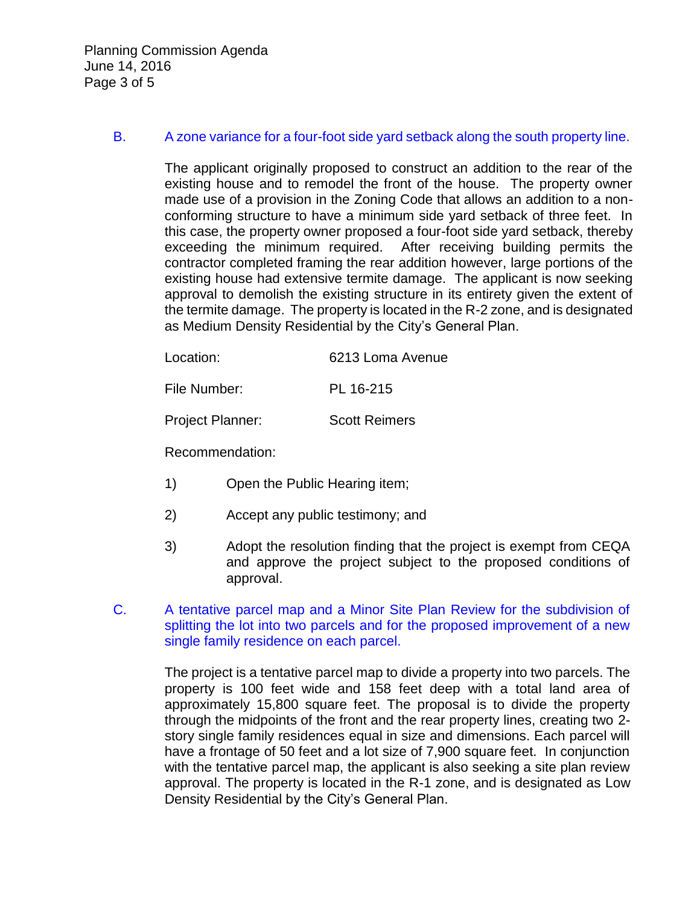Planning Commission Agenda June 14, 2016 Page 3 of 5

#### B. [A zone variance for a four-foot side yard setback along the south property line.](http://ca-templecity.civicplus.com/DocumentCenter/View/6052)

The applicant originally proposed to construct an addition to the rear of the existing house and to remodel the front of the house. The property owner made use of a provision in the Zoning Code that allows an addition to a nonconforming structure to have a minimum side yard setback of three feet. In this case, the property owner proposed a four-foot side yard setback, thereby exceeding the minimum required. After receiving building permits the contractor completed framing the rear addition however, large portions of the existing house had extensive termite damage. The applicant is now seeking approval to demolish the existing structure in its entirety given the extent of the termite damage. The property is located in the R-2 zone, and is designated as Medium Density Residential by the City's General Plan.

| Location: | 6213 Loma Avenue |
|-----------|------------------|
|           |                  |

File Number: PL 16-215

Project Planner: Scott Reimers

Recommendation:

- 1) Open the Public Hearing item;
- 2) Accept any public testimony; and
- 3) Adopt the resolution finding that the project is exempt from CEQA and approve the project subject to the proposed conditions of approval.
- C. [A tentative parcel map and a Minor Site Plan Review for the subdivision of](http://ca-templecity.civicplus.com/DocumentCenter/View/6053)  [splitting the lot into two parcels and for the proposed improvement of a new](http://ca-templecity.civicplus.com/DocumentCenter/View/6053)  [single family residence on each parcel.](http://ca-templecity.civicplus.com/DocumentCenter/View/6053)

The project is a tentative parcel map to divide a property into two parcels. The property is 100 feet wide and 158 feet deep with a total land area of approximately 15,800 square feet. The proposal is to divide the property through the midpoints of the front and the rear property lines, creating two 2 story single family residences equal in size and dimensions. Each parcel will have a frontage of 50 feet and a lot size of 7,900 square feet. In conjunction with the tentative parcel map, the applicant is also seeking a site plan review approval. The property is located in the R-1 zone, and is designated as Low Density Residential by the City's General Plan.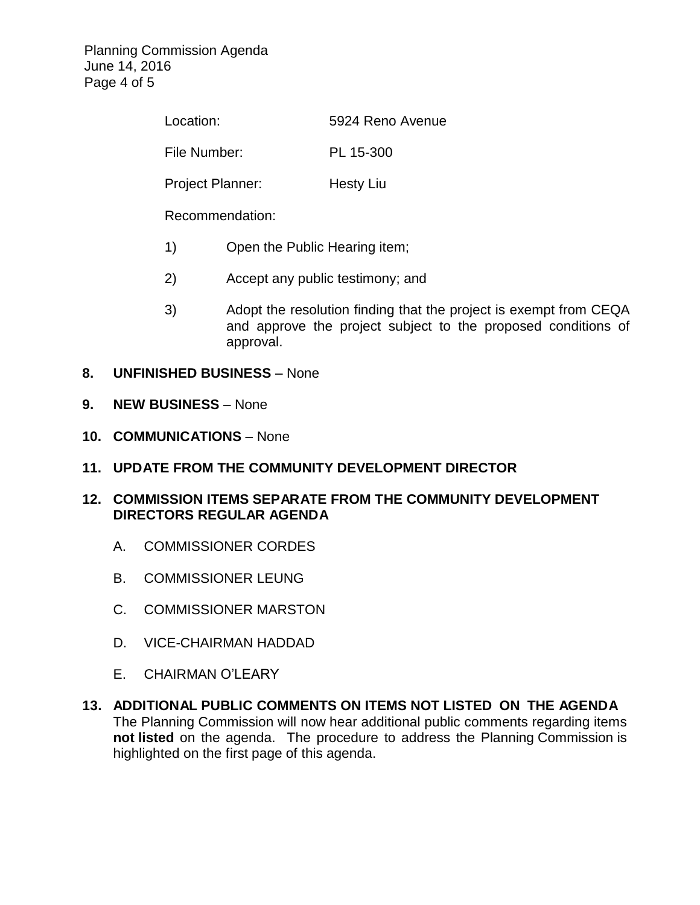Planning Commission Agenda June 14, 2016 Page 4 of 5

| Location:               | 5924 Reno Avenue |  |
|-------------------------|------------------|--|
| File Number:            | PL 15-300        |  |
| <b>Project Planner:</b> | Hesty Liu        |  |
| Recommendation:         |                  |  |

- 1) Open the Public Hearing item;
- 2) Accept any public testimony; and
- 3) Adopt the resolution finding that the project is exempt from CEQA and approve the project subject to the proposed conditions of approval.
- **8. UNFINISHED BUSINESS** None
- **9. NEW BUSINESS** None
- **10. COMMUNICATIONS** None
- **11. UPDATE FROM THE COMMUNITY DEVELOPMENT DIRECTOR**
- **12. COMMISSION ITEMS SEPARATE FROM THE COMMUNITY DEVELOPMENT DIRECTORS REGULAR AGENDA**
	- A. COMMISSIONER CORDES
	- B. COMMISSIONER LEUNG
	- C. COMMISSIONER MARSTON
	- D. VICE-CHAIRMAN HADDAD
	- E. CHAIRMAN O'LEARY
- **13. ADDITIONAL PUBLIC COMMENTS ON ITEMS NOT LISTED ON THE AGENDA** The Planning Commission will now hear additional public comments regarding items **not listed** on the agenda. The procedure to address the Planning Commission is highlighted on the first page of this agenda.